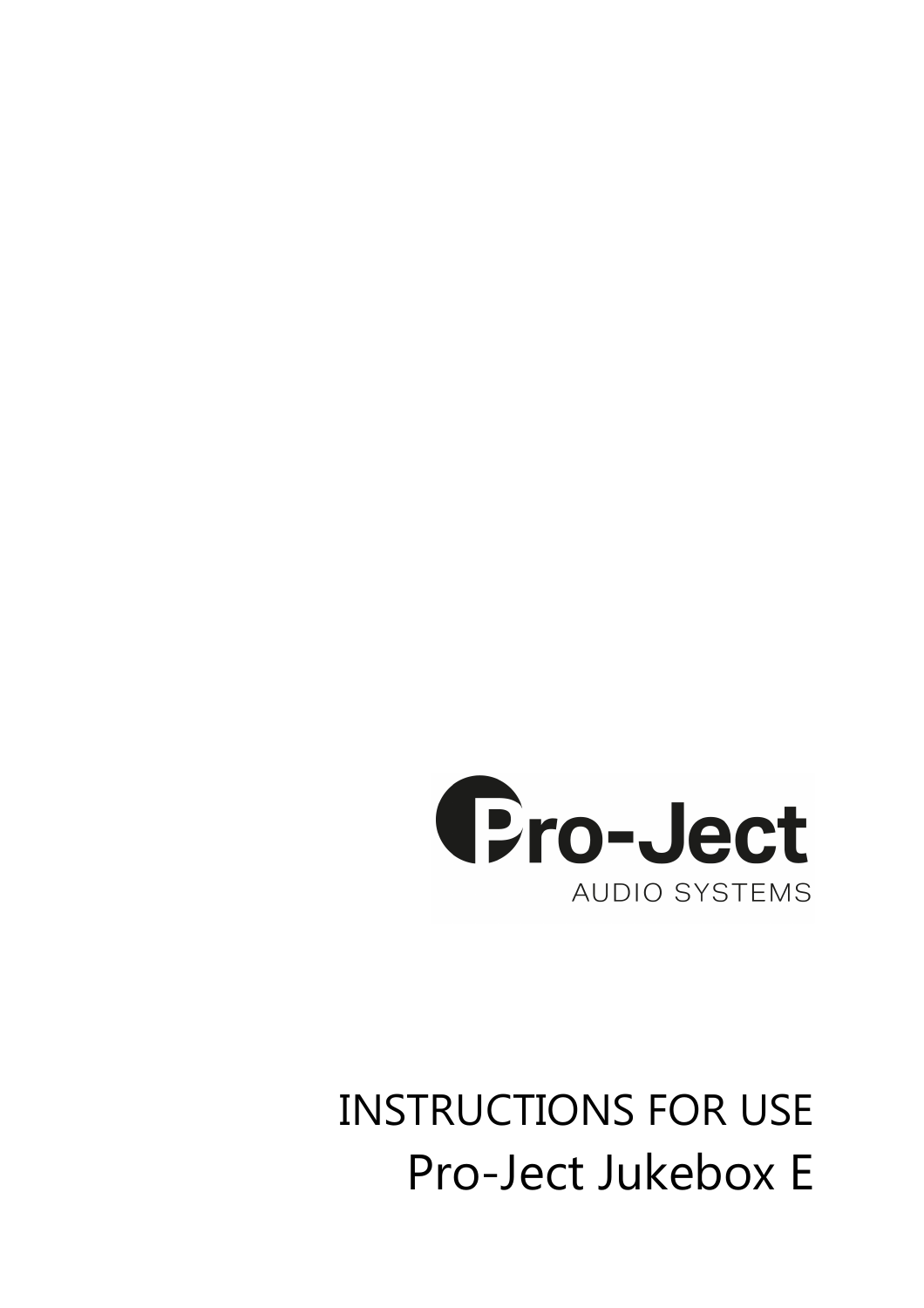

INSTRUCTIONS FOR USE Pro-Ject Jukebox E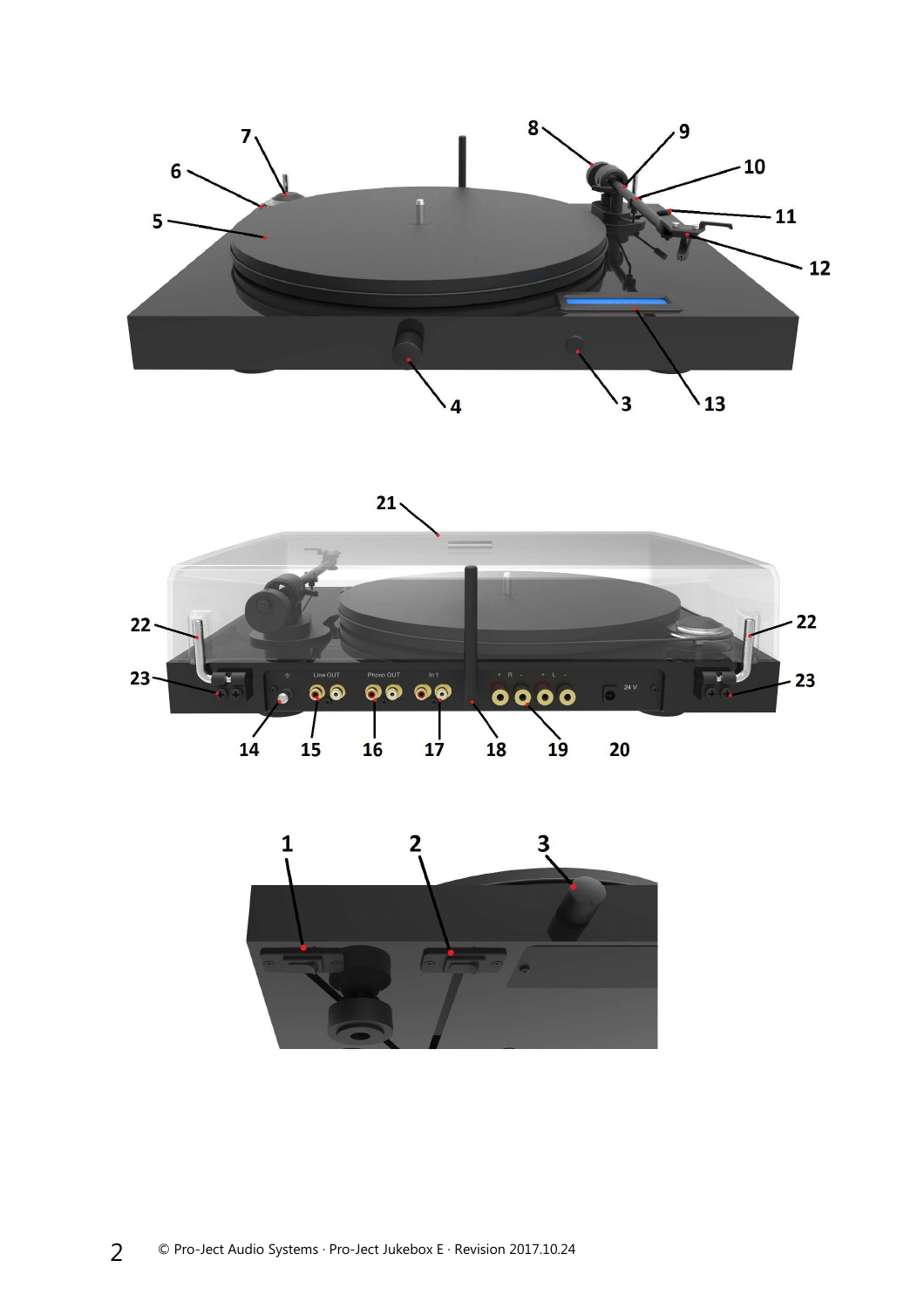



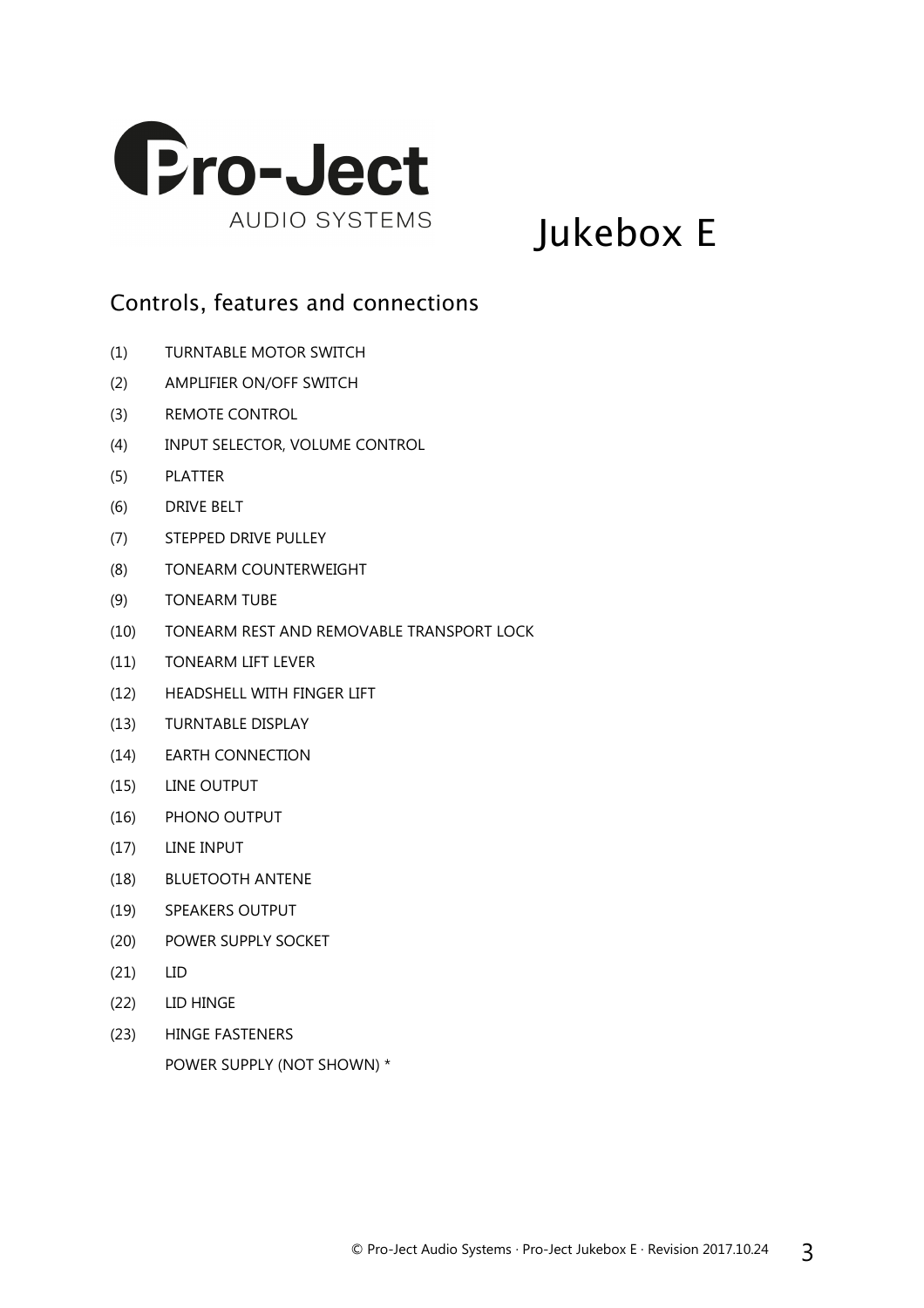

# *Jukebox E*

# *Controls, features and connections*

- (1) TURNTABLE MOTOR SWITCH
- (2) AMPLIFIER ON/OFF SWITCH
- (3) REMOTE CONTROL
- (4) INPUT SELECTOR, VOLUME CONTROL
- (5) PLATTER
- (6) DRIVE BELT
- (7) STEPPED DRIVE PULLEY
- (8) TONEARM COUNTERWEIGHT
- (9) TONEARM TUBE
- (10) TONEARM REST AND REMOVABLE TRANSPORT LOCK
- (11) TONEARM LIFT LEVER
- (12) HEADSHELL WITH FINGER LIFT
- (13) TURNTABLE DISPLAY
- (14) EARTH CONNECTION
- (15) LINE OUTPUT
- (16) PHONO OUTPUT
- (17) LINE INPUT
- (18) BLUETOOTH ANTENE
- (19) SPEAKERS OUTPUT
- (20) POWER SUPPLY SOCKET
- (21) LID
- (22) LID HINGE
- (23) HINGE FASTENERS

POWER SUPPLY (NOT SHOWN) \*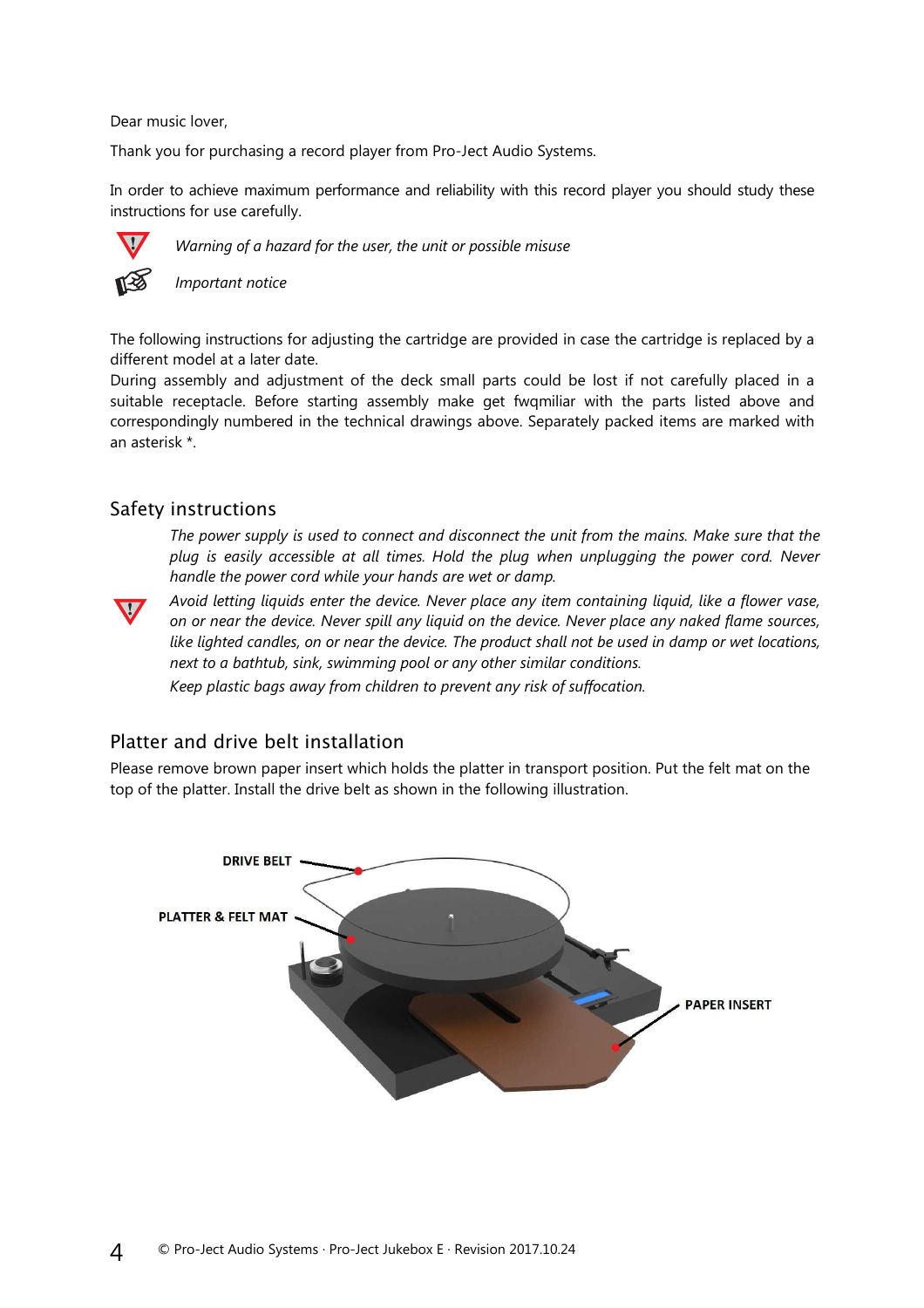Dear music lover,

Thank you for purchasing a record player from Pro-Ject Audio Systems.

In order to achieve maximum performance and reliability with this record player you should study these instructions for use carefully.



**!** *Warning of a hazard for the user, the unit or possible misuse* 



*Important notice* 

The following instructions for adjusting the cartridge are provided in case the cartridge is replaced by a different model at a later date.

During assembly and adjustment of the deck small parts could be lost if not carefully placed in a suitable receptacle. Before starting assembly make get fwqmiliar with the parts listed above and correspondingly numbered in the technical drawings above. Separately packed items are marked with an asterisk \*.

#### *Safety instructions*

*The power supply is used to connect and disconnect the unit from the mains. Make sure that the plug is easily accessible at all times. Hold the plug when unplugging the power cord. Never handle the power cord while your hands are wet or damp.* 



*Avoid letting liquids enter the device. Never place any item containing liquid, like a flower vase, on or near the device. Never spill any liquid on the device. Never place any naked flame sources, like lighted candles, on or near the device. The product shall not be used in damp or wet locations, next to a bathtub, sink, swimming pool or any other similar conditions. Keep plastic bags away from children to prevent any risk of suffocation.* 

#### *Platter and drive belt installation*

Please remove brown paper insert which holds the platter in transport position. Put the felt mat on the top of the platter. Install the drive belt as shown in the following illustration.

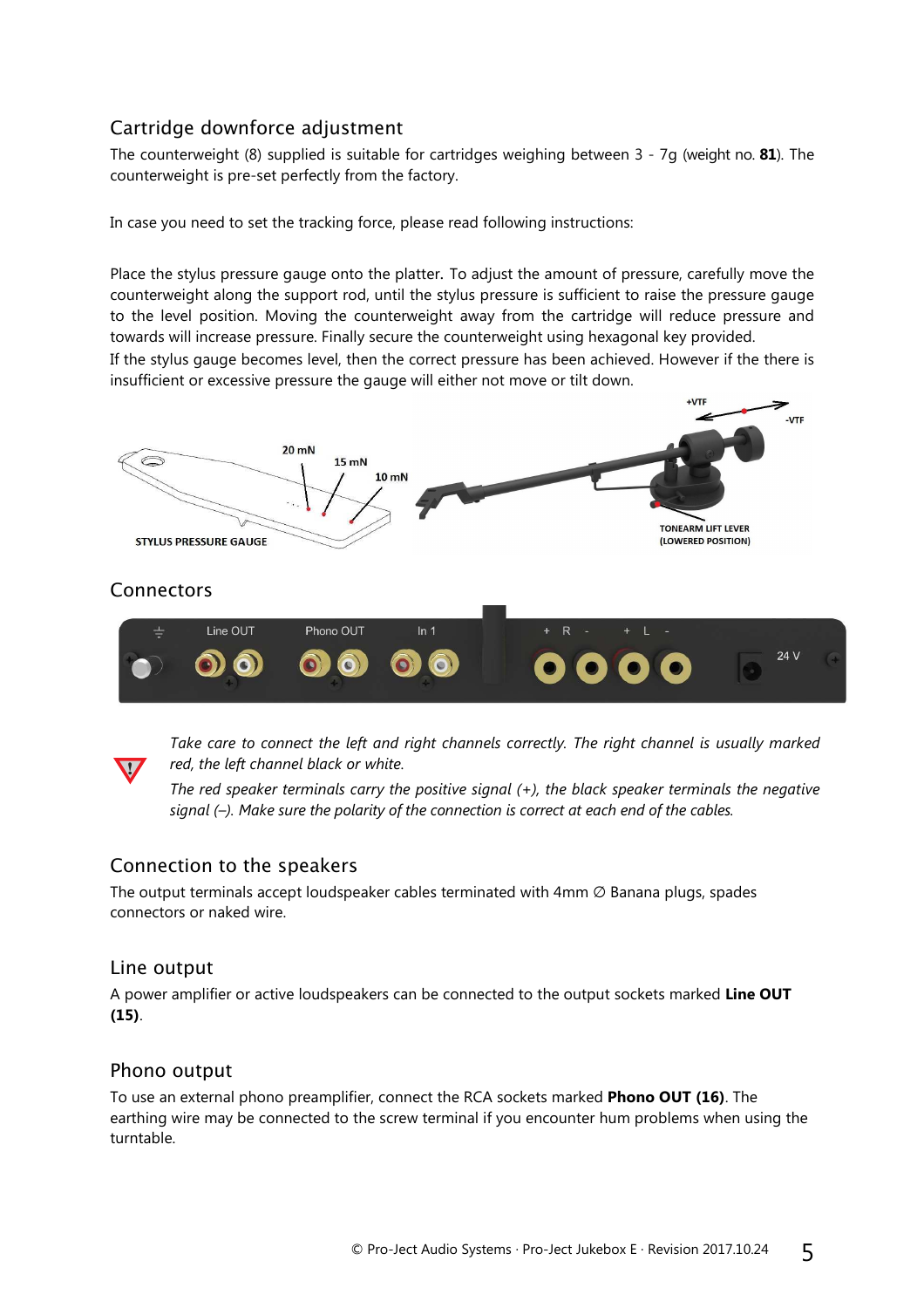# *Cartridge downforce adjustment*

The counterweight (8) supplied is suitable for cartridges weighing between 3 - 7g (weight no. **81**). The counterweight is pre-set perfectly from the factory.

In case you need to set the tracking force, please read following instructions:

Place the stylus pressure gauge onto the platter. To adjust the amount of pressure, carefully move the counterweight along the support rod, until the stylus pressure is sufficient to raise the pressure gauge to the level position. Moving the counterweight away from the cartridge will reduce pressure and towards will increase pressure. Finally secure the counterweight using hexagonal key provided. If the stylus gauge becomes level, then the correct pressure has been achieved. However if the there is insufficient or excessive pressure the gauge will either not move or tilt down.



*Take care to connect the left and right channels correctly. The right channel is usually marked red, the left channel black or white.* 

*The red speaker terminals carry the positive signal (+), the black speaker terminals the negative signal (–). Make sure the polarity of the connection is correct at each end of the cables.*

# *Connection to the speakers*

The output terminals accept loudspeaker cables terminated with  $4 \text{mm} \oslash 8$  Banana plugs, spades connectors or naked wire.

#### *Line output*

**!**

A power amplifier or active loudspeakers can be connected to the output sockets marked **Line OUT (15)**.

#### *Phono output*

To use an external phono preamplifier, connect the RCA sockets marked **Phono OUT (16)**. The earthing wire may be connected to the screw terminal if you encounter hum problems when using the turntable.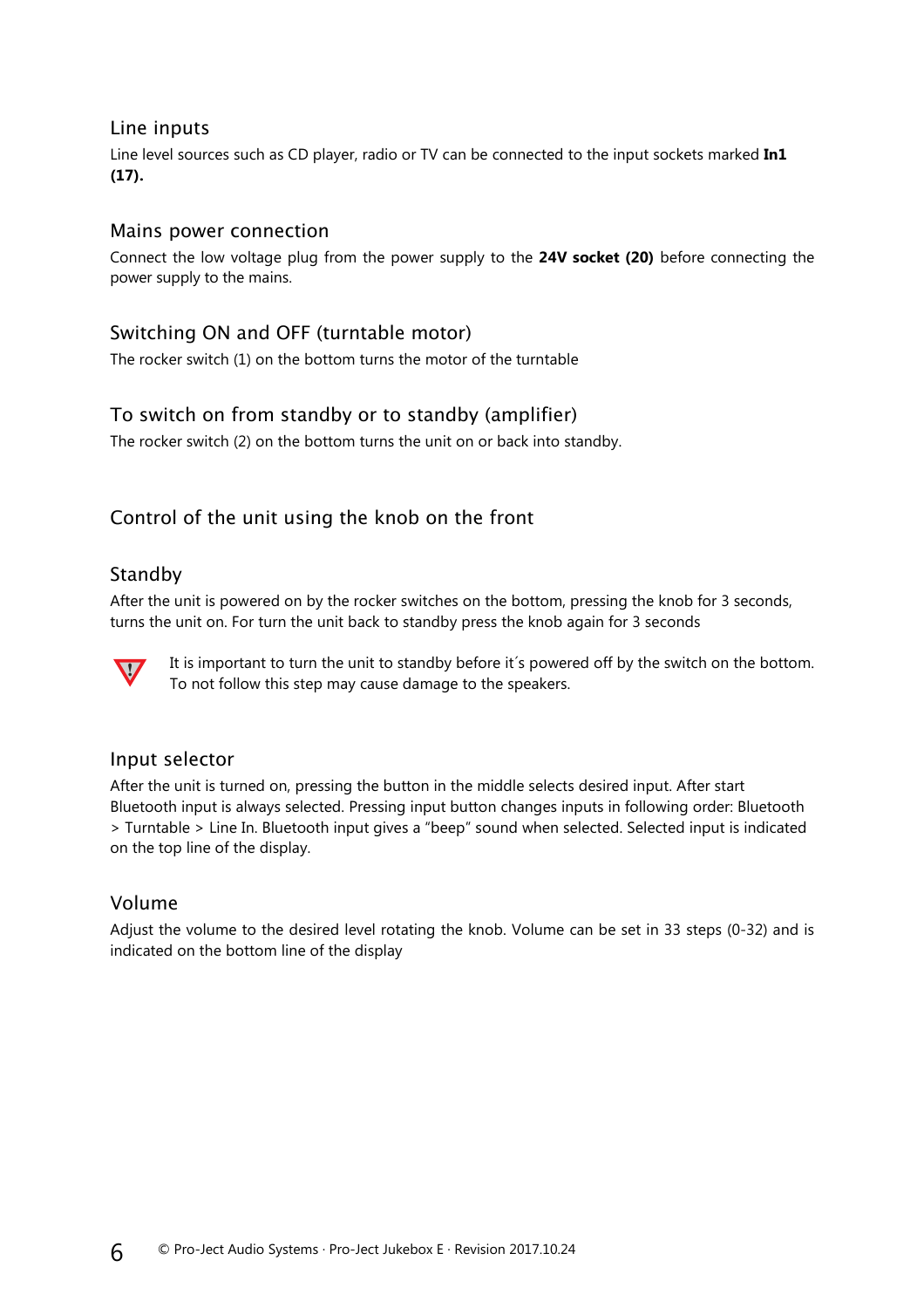#### *Line inputs*

Line level sources such as CD player, radio or TV can be connected to the input sockets marked **In1 (17).**

#### *Mains power connection*

Connect the low voltage plug from the power supply to the **24V socket (20)** before connecting the power supply to the mains.

#### *Switching ON and OFF (turntable motor)*

The rocker switch (1) on the bottom turns the motor of the turntable

#### *To switch on from standby or to standby (amplifier)*

The rocker switch (2) on the bottom turns the unit on or back into standby.

# *Control of the unit using the knob on the front*

#### *Standby*

After the unit is powered on by the rocker switches on the bottom, pressing the knob for 3 seconds, turns the unit on. For turn the unit back to standby press the knob again for 3 seconds



It is important to turn the unit to standby before it's powered off by the switch on the bottom. To not follow this step may cause damage to the speakers.

#### *Input selector*

After the unit is turned on, pressing the button in the middle selects desired input. After start Bluetooth input is always selected. Pressing input button changes inputs in following order: Bluetooth > Turntable > Line In. Bluetooth input gives a "beep" sound when selected. Selected input is indicated on the top line of the display.

#### *Volume*

Adjust the volume to the desired level rotating the knob. Volume can be set in 33 steps (0-32) and is indicated on the bottom line of the display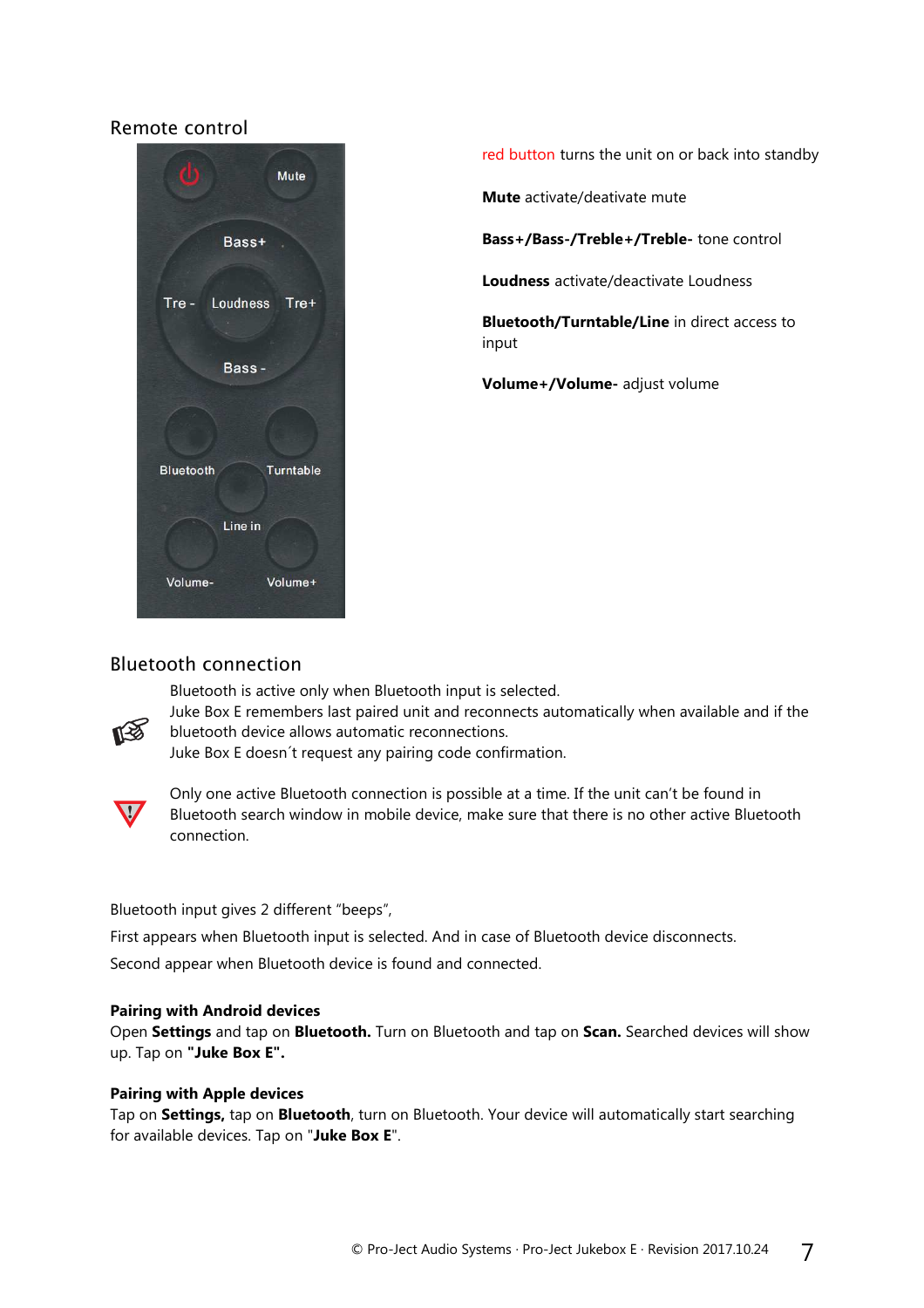#### *Remote control*



red button turns the unit on or back into standby **Mute** activate/deativate mute **Bass+/Bass-/Treble+/Treble-** tone control **Loudness** activate/deactivate Loudness **Bluetooth/Turntable/Line** in direct access to input **Volume+/Volume-** adjust volume

#### *Bluetooth connection*



Bluetooth is active only when Bluetooth input is selected. Juke Box E remembers last paired unit and reconnects automatically when available and if the bluetooth device allows automatic reconnections.

Juke Box E doesn´t request any pairing code confirmation.



Only one active Bluetooth connection is possible at a time. If the unit can't be found in Bluetooth search window in mobile device, make sure that there is no other active Bluetooth connection.

Bluetooth input gives 2 different "beeps",

First appears when Bluetooth input is selected. And in case of Bluetooth device disconnects.

Second appear when Bluetooth device is found and connected.

#### **Pairing with Android devices**

Open **Settings** and tap on **Bluetooth.** Turn on Bluetooth and tap on **Scan.** Searched devices will show up. Tap on **"Juke Box E".** 

#### **Pairing with Apple devices**

Tap on **Settings,** tap on **Bluetooth**, turn on Bluetooth. Your device will automatically start searching for available devices. Tap on "**Juke Box E**".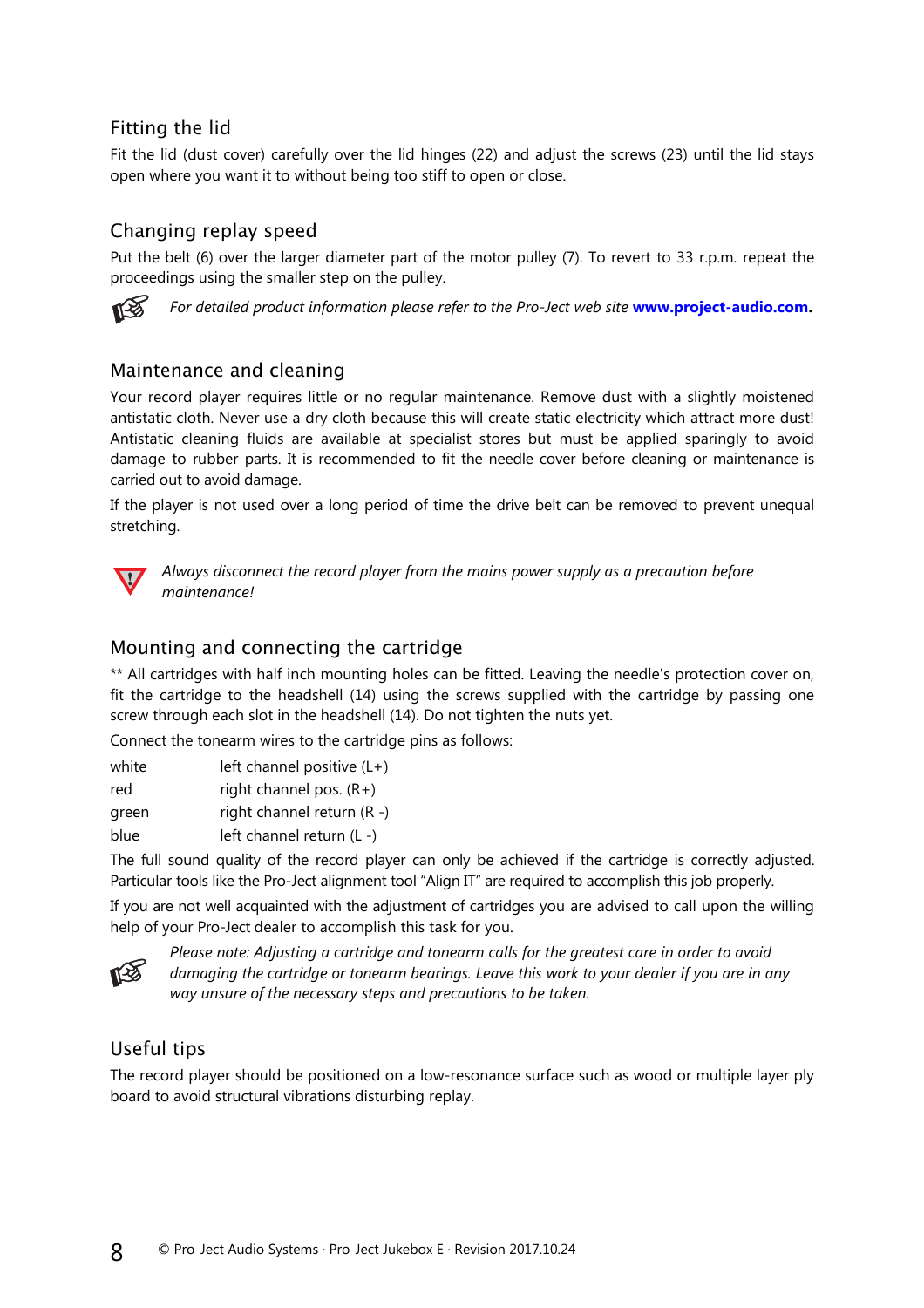# *Fitting the lid*

Fit the lid (dust cover) carefully over the lid hinges (22) and adjust the screws (23) until the lid stays open where you want it to without being too stiff to open or close.

# *Changing replay speed*

Put the belt (6) over the larger diameter part of the motor pulley (7). To revert to 33 r.p.m. repeat the proceedings using the smaller step on the pulley.



*For detailed product information please refer to the Pro-Ject web site* **www.project-audio.com.**

### *Maintenance and cleaning*

Your record player requires little or no regular maintenance. Remove dust with a slightly moistened antistatic cloth. Never use a dry cloth because this will create static electricity which attract more dust! Antistatic cleaning fluids are available at specialist stores but must be applied sparingly to avoid damage to rubber parts. It is recommended to fit the needle cover before cleaning or maintenance is carried out to avoid damage.

If the player is not used over a long period of time the drive belt can be removed to prevent unequal stretching.



*Always disconnect the record player from the mains power supply as a precaution before maintenance!* 

# *Mounting and connecting the cartridge*

\*\* All cartridges with half inch mounting holes can be fitted. Leaving the needle's protection cover on, fit the cartridge to the headshell (14) using the screws supplied with the cartridge by passing one screw through each slot in the headshell (14). Do not tighten the nuts yet.

Connect the tonearm wires to the cartridge pins as follows:

white  $\qquad$  left channel positive  $(L+)$ 

red  $right channel pos. (R+)$ 

green right channel return (R -)

blue left channel return (L -)

The full sound quality of the record player can only be achieved if the cartridge is correctly adjusted. Particular tools like the Pro-Ject alignment tool "Align IT" are required to accomplish this job properly.

If you are not well acquainted with the adjustment of cartridges you are advised to call upon the willing help of your Pro-Ject dealer to accomplish this task for you.



*Please note: Adjusting a cartridge and tonearm calls for the greatest care in order to avoid damaging the cartridge or tonearm bearings. Leave this work to your dealer if you are in any way unsure of the necessary steps and precautions to be taken.* 

# *Useful tips*

The record player should be positioned on a low-resonance surface such as wood or multiple layer ply board to avoid structural vibrations disturbing replay.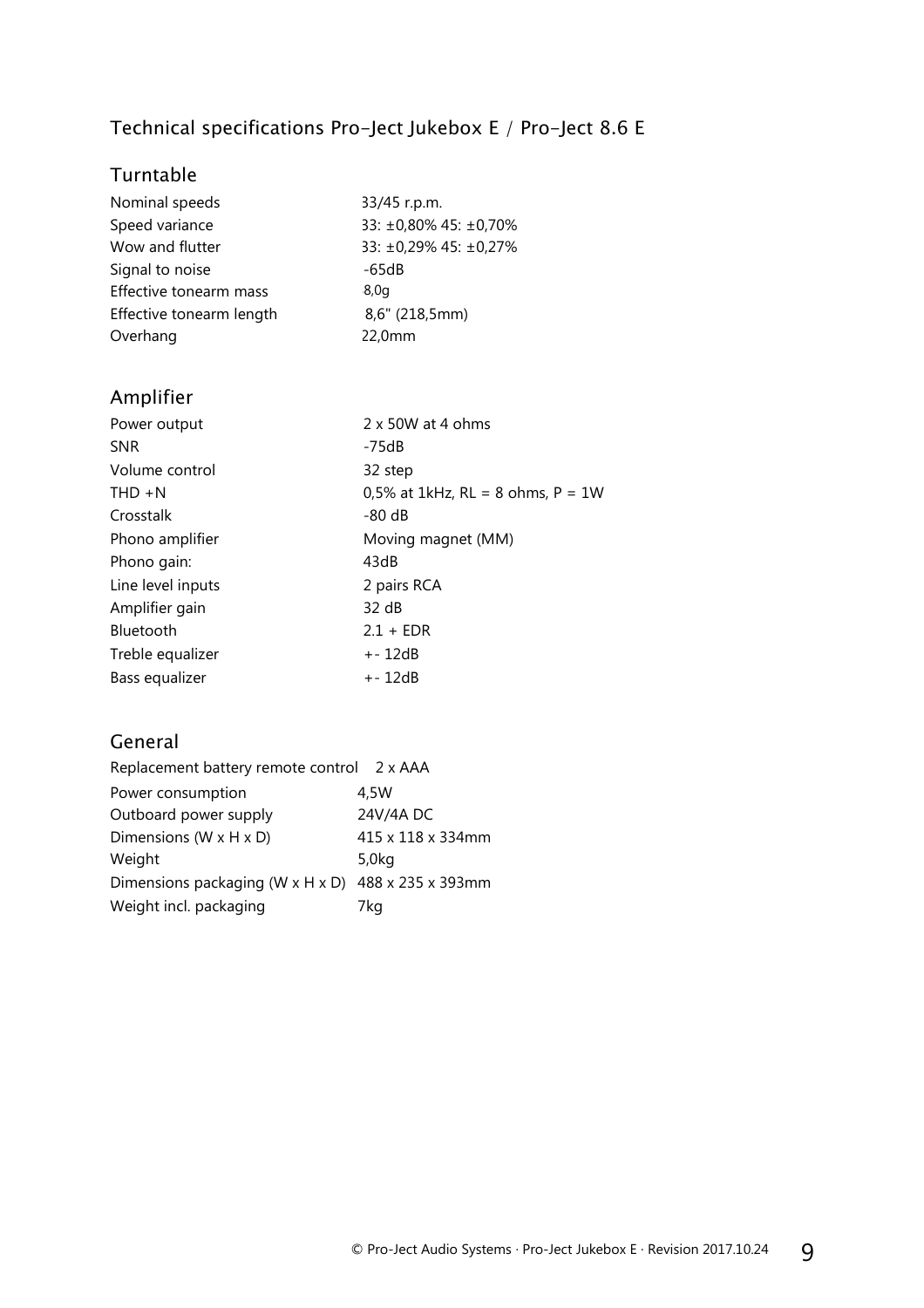# *Technical specifications Pro-Ject Jukebox E / Pro-Ject 8.6 E*

# *Turntable*

| Nominal speeds           | 33/45 r.p.m.          |
|--------------------------|-----------------------|
| Speed variance           | 33: ±0,80% 45: ±0,70% |
| Wow and flutter          | 33: ±0,29% 45: ±0,27% |
| Signal to noise          | $-65dB$               |
| Effective tonearm mass   | 8,0q                  |
| Effective tonearm length | 8,6" (218,5mm)        |
| Overhang                 | 22,0mm                |
|                          |                       |

# *Amplifier*

| Power output      | 2 x 50W at 4 ohms                   |
|-------------------|-------------------------------------|
| <b>SNR</b>        | $-75dB$                             |
| Volume control    | 32 step                             |
| $THD + N$         | 0,5% at 1kHz, RL = 8 ohms, $P = 1W$ |
| Crosstalk         | -80 dB                              |
| Phono amplifier   | Moving magnet (MM)                  |
| Phono gain:       | 43dB                                |
| Line level inputs | 2 pairs RCA                         |
| Amplifier gain    | 32 dB                               |
| Bluetooth         | $2.1 + EDR$                         |
| Treble equalizer  | +-12dB                              |
| Bass equalizer    | +-12dB                              |

# *General*

| Replacement battery remote control 2 x AAA                                     |                   |
|--------------------------------------------------------------------------------|-------------------|
| Power consumption                                                              | 4.5W              |
| Outboard power supply                                                          | 24V/4A DC         |
| Dimensions (W x H x D)                                                         | 415 x 118 x 334mm |
| Weight                                                                         | 5,0kg             |
| Dimensions packaging (W $\times$ H $\times$ D) 488 $\times$ 235 $\times$ 393mm |                   |
| Weight incl. packaging                                                         | 7ka               |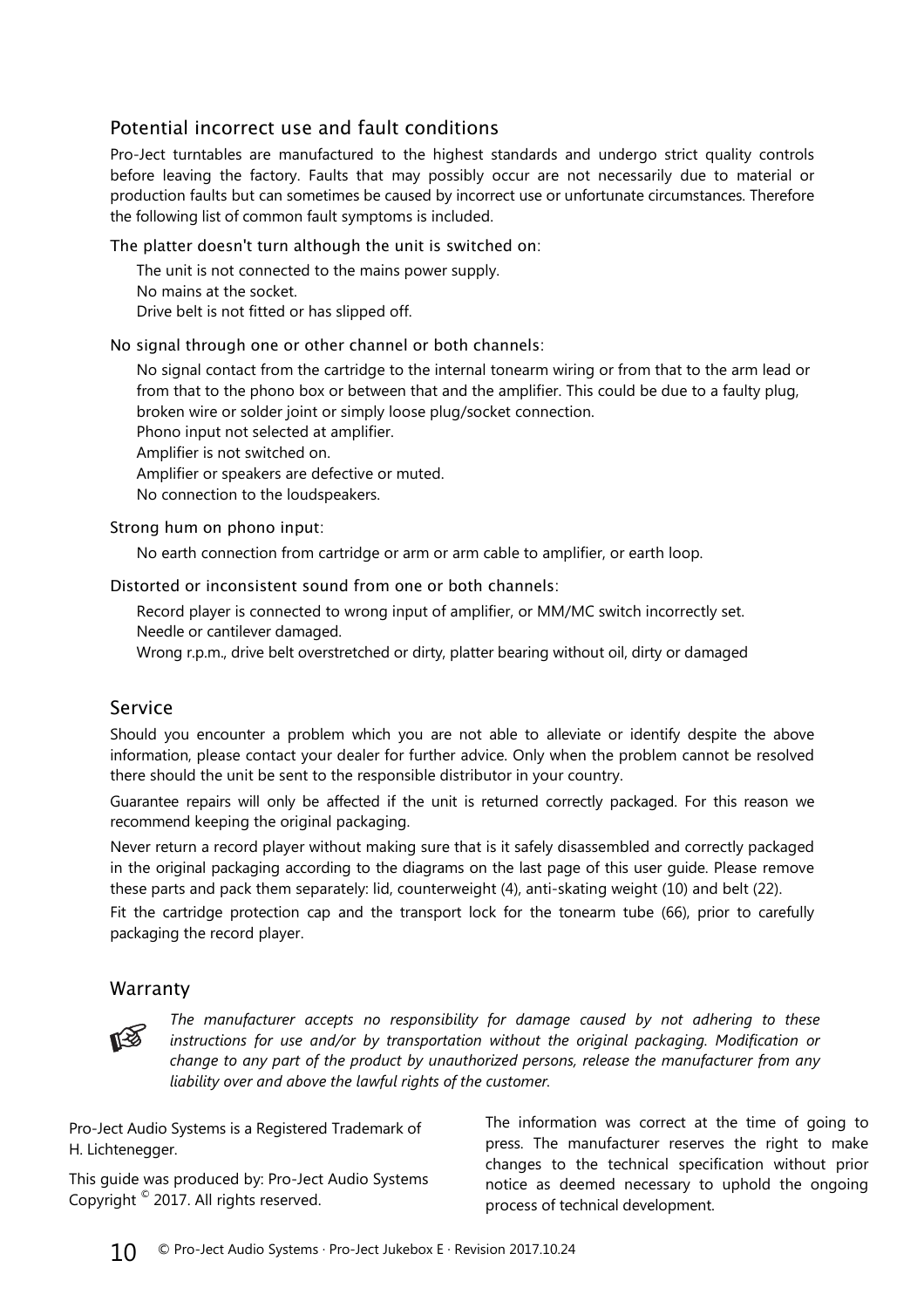## *Potential incorrect use and fault conditions*

Pro-Ject turntables are manufactured to the highest standards and undergo strict quality controls before leaving the factory. Faults that may possibly occur are not necessarily due to material or production faults but can sometimes be caused by incorrect use or unfortunate circumstances. Therefore the following list of common fault symptoms is included.

#### *The platter doesn't turn although the unit is switched on:*

The unit is not connected to the mains power supply. No mains at the socket. Drive belt is not fitted or has slipped off.

#### *No signal through one or other channel or both channels:*

No signal contact from the cartridge to the internal tonearm wiring or from that to the arm lead or from that to the phono box or between that and the amplifier. This could be due to a faulty plug, broken wire or solder joint or simply loose plug/socket connection. Phono input not selected at amplifier. Amplifier is not switched on. Amplifier or speakers are defective or muted. No connection to the loudspeakers.

#### *Strong hum on phono input:*

No earth connection from cartridge or arm or arm cable to amplifier, or earth loop.

*Distorted or inconsistent sound from one or both channels:* 

Record player is connected to wrong input of amplifier, or MM/MC switch incorrectly set. Needle or cantilever damaged.

Wrong r.p.m., drive belt overstretched or dirty, platter bearing without oil, dirty or damaged

#### *Service*

Should you encounter a problem which you are not able to alleviate or identify despite the above information, please contact your dealer for further advice. Only when the problem cannot be resolved there should the unit be sent to the responsible distributor in your country.

Guarantee repairs will only be affected if the unit is returned correctly packaged. For this reason we recommend keeping the original packaging.

Never return a record player without making sure that is it safely disassembled and correctly packaged in the original packaging according to the diagrams on the last page of this user guide. Please remove these parts and pack them separately: lid, counterweight (4), anti-skating weight (10) and belt (22).

Fit the cartridge protection cap and the transport lock for the tonearm tube (66), prior to carefully packaging the record player.

#### *Warranty*



*The manufacturer accepts no responsibility for damage caused by not adhering to these instructions for use and/or by transportation without the original packaging. Modification or change to any part of the product by unauthorized persons, release the manufacturer from any liability over and above the lawful rights of the customer.* 

Pro-Ject Audio Systems is a Registered Trademark of H. Lichtenegger.

This guide was produced by: Pro-Ject Audio Systems Copyright © 2017. All rights reserved.

The information was correct at the time of going to press. The manufacturer reserves the right to make changes to the technical specification without prior notice as deemed necessary to uphold the ongoing process of technical development.